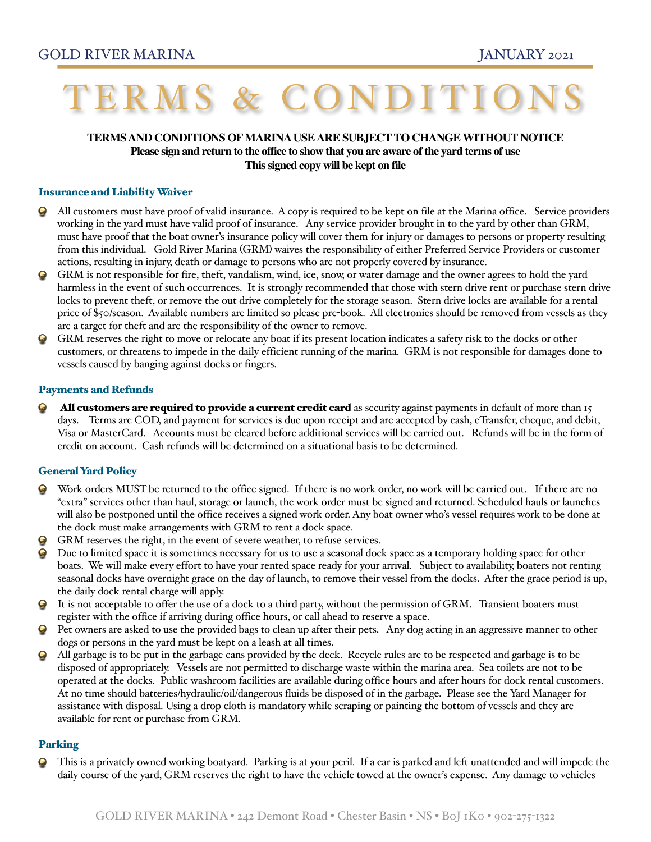# ERMS & CONDITI

## **TERMS AND CONDITIONS OF MARINA USE ARE SUBJECT TO CHANGE WITHOUT NOTICE Please sign and return to the office to show that you are aware of the yard terms of use This signed copy will be kept on file**

#### Insurance and Liability Waiver

- All customers must have proof of valid insurance. A copy is required to be kept on file at the Marina office. Service providers working in the yard must have valid proof of insurance. Any service provider brought in to the yard by other than GRM, must have proof that the boat owner's insurance policy will cover them for injury or damages to persons or property resulting from this individual. Gold River Marina (GRM) waives the responsibility of either Preferred Service Providers or customer actions, resulting in injury, death or damage to persons who are not properly covered by insurance.
- 9 GRM is not responsible for fire, theft, vandalism, wind, ice, snow, or water damage and the owner agrees to hold the yard harmless in the event of such occurrences. It is strongly recommended that those with stern drive rent or purchase stern drive locks to prevent theft, or remove the out drive completely for the storage season. Stern drive locks are available for a rental price of \$50/season. Available numbers are limited so please pre-book. All electronics should be removed from vessels as they are a target for theft and are the responsibility of the owner to remove.
- $\bf G$ GRM reserves the right to move or relocate any boat if its present location indicates a safety risk to the docks or other customers, or threatens to impede in the daily efficient running of the marina. GRM is not responsible for damages done to vessels caused by banging against docks or fingers.

#### Payments and Refunds

All customers are required to provide a current credit card as security against payments in default of more than 15 days. Terms are COD, and payment for services is due upon receipt and are accepted by cash, eTransfer, cheque, and debit, Visa or MasterCard. Accounts must be cleared before additional services will be carried out. Refunds will be in the form of credit on account. Cash refunds will be determined on a situational basis to be determined.

#### General Yard Policy

- Work orders MUST be returned to the office signed. If there is no work order, no work will be carried out. If there are no  $\bf Q$ "extra" services other than haul, storage or launch, the work order must be signed and returned. Scheduled hauls or launches will also be postponed until the office receives a signed work order. Any boat owner who's vessel requires work to be done at the dock must make arrangements with GRM to rent a dock space.
- GRM reserves the right, in the event of severe weather, to refuse services. 9
- Due to limited space it is sometimes necessary for us to use a seasonal dock space as a temporary holding space for other boats. We will make every effort to have your rented space ready for your arrival. Subject to availability, boaters not renting seasonal docks have overnight grace on the day of launch, to remove their vessel from the docks. After the grace period is up, the daily dock rental charge will apply.
- $\bf G$ It is not acceptable to offer the use of a dock to a third party, without the permission of GRM. Transient boaters must register with the office if arriving during office hours, or call ahead to reserve a space.
- Pet owners are asked to use the provided bags to clean up after their pets. Any dog acting in an aggressive manner to other dogs or persons in the yard must be kept on a leash at all times.
- All garbage is to be put in the garbage cans provided by the deck. Recycle rules are to be respected and garbage is to be disposed of appropriately. Vessels are not permitted to discharge waste within the marina area. Sea toilets are not to be operated at the docks. Public washroom facilities are available during office hours and after hours for dock rental customers. At no time should batteries/hydraulic/oil/dangerous fluids be disposed of in the garbage. Please see the Yard Manager for assistance with disposal. Using a drop cloth is mandatory while scraping or painting the bottom of vessels and they are available for rent or purchase from GRM.

#### Parking

This is a privately owned working boatyard. Parking is at your peril. If a car is parked and left unattended and will impede the daily course of the yard, GRM reserves the right to have the vehicle towed at the owner's expense. Any damage to vehicles